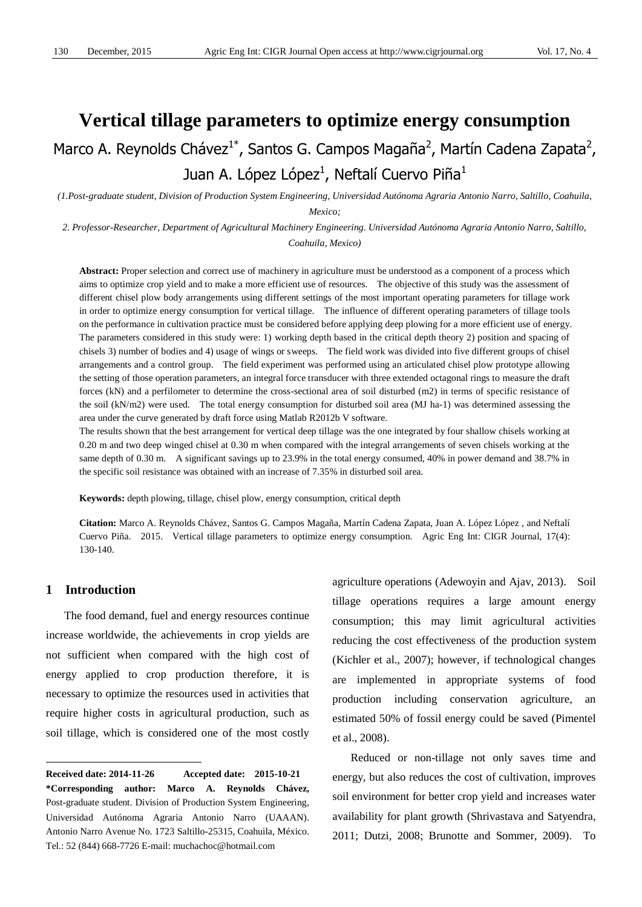# **Vertical tillage parameters to optimize energy consumption**

Marco A. Reynolds Chávez<sup>1\*</sup>, Santos G. Campos Magaña<sup>2</sup>, Martín Cadena Zapata<sup>2</sup>, Juan A. López López $^1$ , Neftalí Cuervo Piña $^1$ 

*(1.Post-graduate student, Division of Production System Engineering, Universidad Autónoma Agraria Antonio Narro, Saltillo, Coahuila, Mexico;* 

*2. Professor-Researcher, Department of Agricultural Machinery Engineering. Universidad Autónoma Agraria Antonio Narro, Saltillo, Coahuila, Mexico)*

**Abstract:** Proper selection and correct use of machinery in agriculture must be understood as a component of a process which aims to optimize crop yield and to make a more efficient use of resources. The objective of this study was the assessment of different chisel plow body arrangements using different settings of the most important operating parameters for tillage work in order to optimize energy consumption for vertical tillage. The influence of different operating parameters of tillage tools on the performance in cultivation practice must be considered before applying deep plowing for a more efficient use of energy. The parameters considered in this study were: 1) working depth based in the critical depth theory 2) position and spacing of chisels 3) number of bodies and 4) usage of wings or sweeps. The field work was divided into five different groups of chisel arrangements and a control group. The field experiment was performed using an articulated chisel plow prototype allowing the setting of those operation parameters, an integral force transducer with three extended octagonal rings to measure the draft forces (kN) and a perfilometer to determine the cross-sectional area of soil disturbed (m2) in terms of specific resistance of the soil (kN/m2) were used. The total energy consumption for disturbed soil area (MJ ha-1) was determined assessing the area under the curve generated by draft force using Matlab R2012b V software.

The results shown that the best arrangement for vertical deep tillage was the one integrated by four shallow chisels working at 0.20 m and two deep winged chisel at 0.30 m when compared with the integral arrangements of seven chisels working at the same depth of 0.30 m. A significant savings up to 23.9% in the total energy consumed, 40% in power demand and 38.7% in the specific soil resistance was obtained with an increase of 7.35% in disturbed soil area.

**Keywords:** depth plowing, tillage, chisel plow, energy consumption, critical depth

**Citation:** Marco A. Reynolds Chávez, Santos G. Campos Magaña, Martín Cadena Zapata, Juan A. López López , and Neftalí Cuervo Piña. 2015. Vertical tillage parameters to optimize energy consumption. Agric Eng Int: CIGR Journal, 17(4): 130-140.

# **1 Introduction1**

 $\overline{a}$ 

The food demand, fuel and energy resources continue increase worldwide, the achievements in crop yields are not sufficient when compared with the high cost of energy applied to crop production therefore, it is necessary to optimize the resources used in activities that require higher costs in agricultural production, such as soil tillage, which is considered one of the most costly agriculture operations (Adewoyin and Ajav, 2013). Soil tillage operations requires a large amount energy consumption; this may limit agricultural activities reducing the cost effectiveness of the production system (Kichler et al., 2007); however, if technological changes are implemented in appropriate systems of food production including conservation agriculture, an estimated 50% of fossil energy could be saved (Pimentel et al., 2008).

Reduced or non-tillage not only saves time and energy, but also reduces the cost of cultivation, improves soil environment for better crop yield and increases water availability for plant growth (Shrivastava and Satyendra, 2011; Dutzi, 2008; Brunotte and Sommer, 2009). To

**Received date: 2014-11-26 Accepted date: 2015-10-21 \*Corresponding author: Marco A. Reynolds Chávez,**  Post-graduate student. Division of Production System Engineering, Universidad Autónoma Agraria Antonio Narro (UAAAN). Antonio Narro Avenue No. 1723 Saltillo-25315, Coahuila, México. Tel.: 52 (844) 668-7726 E-mail: muchachoc@hotmail.com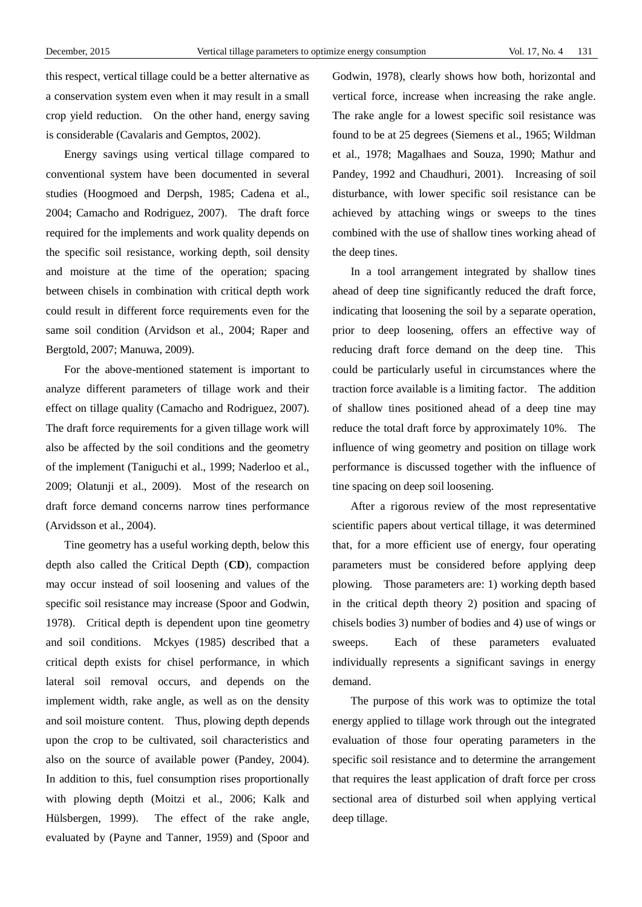this respect, vertical tillage could be a better alternative as a conservation system even when it may result in a small crop yield reduction. On the other hand, energy saving is considerable (Cavalaris and Gemptos, 2002).

Energy savings using vertical tillage compared to conventional system have been documented in several studies (Hoogmoed and Derpsh, 1985; Cadena et al., 2004; Camacho and Rodriguez, 2007). The draft force required for the implements and work quality depends on the specific soil resistance, working depth, soil density and moisture at the time of the operation; spacing between chisels in combination with critical depth work could result in different force requirements even for the same soil condition (Arvidson et al., 2004; Raper and Bergtold, 2007; Manuwa, 2009).

For the above-mentioned statement is important to analyze different parameters of tillage work and their effect on tillage quality (Camacho and Rodriguez, 2007). The draft force requirements for a given tillage work will also be affected by the soil conditions and the geometry of the implement (Taniguchi et al., 1999; Naderloo et al., 2009; Olatunji et al., 2009). Most of the research on draft force demand concerns narrow tines performance (Arvidsson et al., 2004).

Tine geometry has a useful working depth, below this depth also called the Critical Depth (**CD**), compaction may occur instead of soil loosening and values of the specific soil resistance may increase (Spoor and Godwin, 1978). Critical depth is dependent upon tine geometry and soil conditions. Mckyes (1985) described that a critical depth exists for chisel performance, in which lateral soil removal occurs, and depends on the implement width, rake angle, as well as on the density and soil moisture content. Thus, plowing depth depends upon the crop to be cultivated, soil characteristics and also on the source of available power (Pandey, 2004). In addition to this, fuel consumption rises proportionally with plowing depth (Moitzi et al., 2006; Kalk and Hülsbergen, 1999). The effect of the rake angle, evaluated by (Payne and Tanner, 1959) and (Spoor and Godwin, 1978), clearly shows how both, horizontal and vertical force, increase when increasing the rake angle. The rake angle for a lowest specific soil resistance was found to be at 25 degrees (Siemens et al., 1965; Wildman et al., 1978; Magalhaes and Souza, 1990; Mathur and Pandey, 1992 and Chaudhuri, 2001). Increasing of soil disturbance, with lower specific soil resistance can be achieved by attaching wings or sweeps to the tines combined with the use of shallow tines working ahead of the deep tines.

In a tool arrangement integrated by shallow tines ahead of deep tine significantly reduced the draft force, indicating that loosening the soil by a separate operation, prior to deep loosening, offers an effective way of reducing draft force demand on the deep tine. This could be particularly useful in circumstances where the traction force available is a limiting factor. The addition of shallow tines positioned ahead of a deep tine may reduce the total draft force by approximately 10%. The influence of wing geometry and position on tillage work performance is discussed together with the influence of tine spacing on deep soil loosening.

After a rigorous review of the most representative scientific papers about vertical tillage, it was determined that, for a more efficient use of energy, four operating parameters must be considered before applying deep plowing. Those parameters are: 1) working depth based in the critical depth theory 2) position and spacing of chisels bodies 3) number of bodies and 4) use of wings or sweeps. Each of these parameters evaluated individually represents a significant savings in energy demand.

The purpose of this work was to optimize the total energy applied to tillage work through out the integrated evaluation of those four operating parameters in the specific soil resistance and to determine the arrangement that requires the least application of draft force per cross sectional area of disturbed soil when applying vertical deep tillage.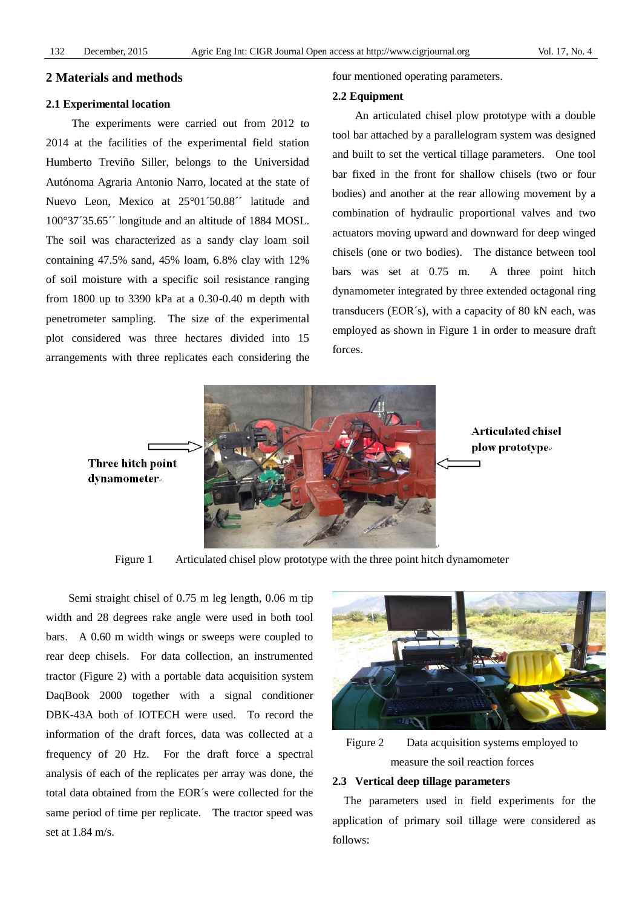### **2 Materials and methods**

## **2.1 Experimental location**

The experiments were carried out from 2012 to 2014 at the facilities of the experimental field station Humberto Treviño Siller, belongs to the Universidad Autónoma Agraria Antonio Narro, located at the state of Nuevo Leon, Mexico at 25 01 50.88<sup>"</sup> latitude and 100°37´35.65´´ longitude and an altitude of 1884 MOSL. The soil was characterized as a sandy clay loam soil containing 47.5% sand, 45% loam, 6.8% clay with 12% of soil moisture with a specific soil resistance ranging from 1800 up to 3390 kPa at a 0.30-0.40 m depth with penetrometer sampling. The size of the experimental plot considered was three hectares divided into 15 arrangements with three replicates each considering the

four mentioned operating parameters.

#### **2.2 Equipment**

An articulated chisel plow prototype with a double tool bar attached by a parallelogram system was designed and built to set the vertical tillage parameters. One tool bar fixed in the front for shallow chisels (two or four bodies) and another at the rear allowing movement by a combination of hydraulic proportional valves and two actuators moving upward and downward for deep winged chisels (one or two bodies). The distance between tool bars was set at 0.75 m. A three point hitch dynamometer integrated by three extended octagonal ring transducers (EOR´s), with a capacity of 80 kN each, was employed as shown in Figure 1 in order to measure draft forces.



**Articulated chisel** plow prototype.

Figure 1 Articulated chisel plow prototype with the three point hitch dynamometer

Semi straight chisel of 0.75 m leg length, 0.06 m tip width and 28 degrees rake angle were used in both tool bars. A 0.60 m width wings or sweeps were coupled to rear deep chisels. For data collection, an instrumented tractor (Figure 2) with a portable data acquisition system DaqBook 2000 together with a signal conditioner DBK-43A both of IOTECH were used. To record the information of the draft forces, data was collected at a frequency of 20 Hz. For the draft force a spectral analysis of each of the replicates per array was done, the total data obtained from the EOR´s were collected for the same period of time per replicate. The tractor speed was set at 1.84 m/s.



Figure 2 Data acquisition systems employed to measure the soil reaction forces

## **2.3 Vertical deep tillage parameters**

The parameters used in field experiments for the application of primary soil tillage were considered as follows: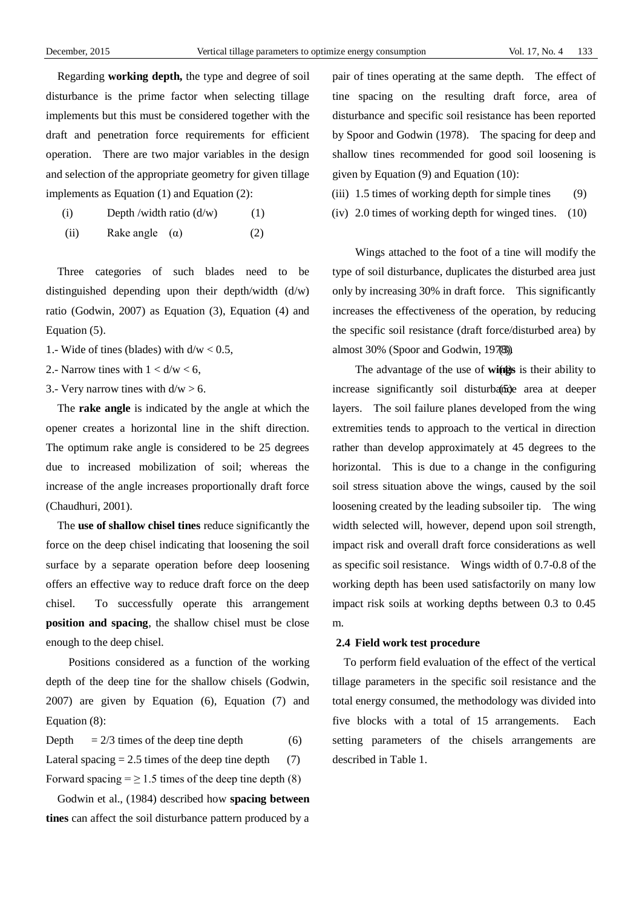Regarding **working depth,** the type and degree of soil disturbance is the prime factor when selecting tillage implements but this must be considered together with the draft and penetration force requirements for efficient operation. There are two major variables in the design and selection of the appropriate geometry for given tillage implements as Equation (1) and Equation (2):

- (i) Depth /width ratio  $(d/w)$  (1)
- (ii) Rake angle  $(\alpha)$  (2)

Three categories of such blades need to be distinguished depending upon their depth/width (d/w) ratio (Godwin, 2007) as Equation (3), Equation (4) and Equation (5).

- 1.- Wide of tines (blades) with  $d/w < 0.5$ ,
- 
- 

The **rake angle** is indicated by the angle at which the opener creates a horizontal line in the shift direction. The optimum rake angle is considered to be 25 degrees due to increased mobilization of soil; whereas the increase of the angle increases proportionally draft force (Chaudhuri, 2001).

The **use of shallow chisel tines** reduce significantly the force on the deep chisel indicating that loosening the soil surface by a separate operation before deep loosening offers an effective way to reduce draft force on the deep chisel. To successfully operate this arrangement **position and spacing**, the shallow chisel must be close enough to the deep chisel.

Positions considered as a function of the working depth of the deep tine for the shallow chisels (Godwin, 2007) are given by Equation (6), Equation (7) and Equation (8):

| Depth<br>$= 2/3$ times of the deep tine depth | (6) |
|-----------------------------------------------|-----|
|-----------------------------------------------|-----|

Lateral spacing  $= 2.5$  times of the deep tine depth (7)

Forward spacing  $= \ge 1.5$  times of the deep tine depth (8)

Godwin et al., (1984) described how **spacing between tines** can affect the soil disturbance pattern produced by a pair of tines operating at the same depth. The effect of tine spacing on the resulting draft force, area of disturbance and specific soil resistance has been reported by Spoor and Godwin (1978). The spacing for deep and shallow tines recommended for good soil loosening is given by Equation (9) and Equation (10):

- (iii)  $1.5$  times of working depth for simple tines (9)
- (iv) 2.0 times of working depth for winged tines. (10)

Wings attached to the foot of a tine will modify the type of soil disturbance, duplicates the disturbed area just only by increasing 30% in draft force. This significantly increases the effectiveness of the operation, by reducing the specific soil resistance (draft force/disturbed area) by almost 30% (Spoor and Godwin, 1978).

2.- Narrow tines with  $1 < d/w < 6$ , (2) The advantage of the use of **wings** is their ability to 3.- Very narrow tines with  $d/w > 6$ . (5) increase significantly soil disturbative area at deeper layers. The soil failure planes developed from the wing extremities tends to approach to the vertical in direction rather than develop approximately at 45 degrees to the horizontal. This is due to a change in the configuring soil stress situation above the wings, caused by the soil loosening created by the leading subsoiler tip. The wing width selected will, however, depend upon soil strength, impact risk and overall draft force considerations as well as specific soil resistance. Wings width of 0.7-0.8 of the working depth has been used satisfactorily on many low impact risk soils at working depths between 0.3 to 0.45 m.

# **2.4 Field work test procedure**

To perform field evaluation of the effect of the vertical tillage parameters in the specific soil resistance and the total energy consumed, the methodology was divided into five blocks with a total of 15 arrangements. Each setting parameters of the chisels arrangements are described in Table 1.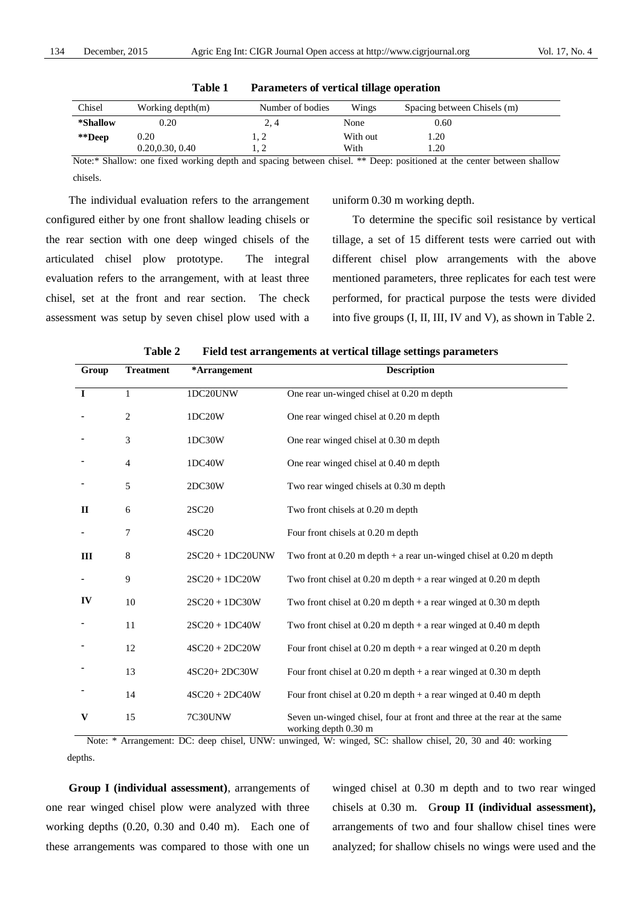| Chisel   | Working depth(m) | Number of bodies | Wings    | Spacing between Chisels (m) |
|----------|------------------|------------------|----------|-----------------------------|
| *Shallow | 0.20             | 2, 4             | None     | 0.60                        |
| **Deep   | 0.20             | 1, 2             | With out | .20                         |
|          | 0.20, 0.30, 0.40 | .                | With     | .20                         |

#### **Table 1 Parameters of vertical tillage operation**

Note:\* Shallow: one fixed working depth and spacing between chisel. \*\* Deep: positioned at the center between shallow chisels.

The individual evaluation refers to the arrangement configured either by one front shallow leading chisels or the rear section with one deep winged chisels of the articulated chisel plow prototype. The integral evaluation refers to the arrangement, with at least three chisel, set at the front and rear section. The check assessment was setup by seven chisel plow used with a uniform 0.30 m working depth.

To determine the specific soil resistance by vertical tillage, a set of 15 different tests were carried out with different chisel plow arrangements with the above mentioned parameters, three replicates for each test were performed, for practical purpose the tests were divided into five groups (I, II, III, IV and V), as shown in Table 2.

| Group        | <b>Treatment</b> | *Arrangement       | <b>Description</b>                                                                              |
|--------------|------------------|--------------------|-------------------------------------------------------------------------------------------------|
| $\mathbf I$  | 1                | 1DC20UNW           | One rear un-winged chisel at 0.20 m depth                                                       |
|              | 2                | 1DC20W             | One rear winged chisel at 0.20 m depth                                                          |
|              | 3                | 1DC30W             | One rear winged chisel at 0.30 m depth                                                          |
|              | 4                | 1DC40W             | One rear winged chisel at 0.40 m depth                                                          |
|              | 5                | 2DC30W             | Two rear winged chisels at 0.30 m depth                                                         |
| $\mathbf{I}$ | 6                | 2SC <sub>20</sub>  | Two front chisels at 0.20 m depth                                                               |
|              | 7                | 4SC20              | Four front chisels at 0.20 m depth                                                              |
| III          | 8                | $2SC20 + 1DC20UNW$ | Two front at $0.20$ m depth + a rear un-winged chisel at $0.20$ m depth                         |
|              | 9                | $2SC20 + 1DC20W$   | Two front chisel at $0.20$ m depth $+$ a rear winged at $0.20$ m depth                          |
| IV           | 10               | $2SC20 + 1DC30W$   | Two front chisel at $0.20$ m depth $+$ a rear winged at $0.30$ m depth                          |
|              | 11               | $2SC20 + 1DC40W$   | Two front chisel at $0.20$ m depth $+$ a rear winged at $0.40$ m depth                          |
|              | 12               | $4SC20 + 2DC20W$   | Four front chisel at $0.20$ m depth $+$ a rear winged at $0.20$ m depth                         |
|              | 13               | 4SC20+2DC30W       | Four front chisel at $0.20$ m depth $+$ a rear winged at $0.30$ m depth                         |
|              | 14               | $4SC20 + 2DC40W$   | Four front chisel at $0.20$ m depth $+$ a rear winged at $0.40$ m depth                         |
| V            | 15               | 7C30UNW            | Seven un-winged chisel, four at front and three at the rear at the same<br>working depth 0.30 m |

**Table 2 Field test arrangements at vertical tillage settings parameters**

Note: \* Arrangement: DC: deep chisel, UNW: unwinged, W: winged, SC: shallow chisel, 20, 30 and 40: working depths.

**Group I (individual assessment)**, arrangements of one rear winged chisel plow were analyzed with three working depths (0.20, 0.30 and 0.40 m). Each one of these arrangements was compared to those with one un winged chisel at 0.30 m depth and to two rear winged chisels at 0.30 m. G**roup II (individual assessment),** arrangements of two and four shallow chisel tines were analyzed; for shallow chisels no wings were used and the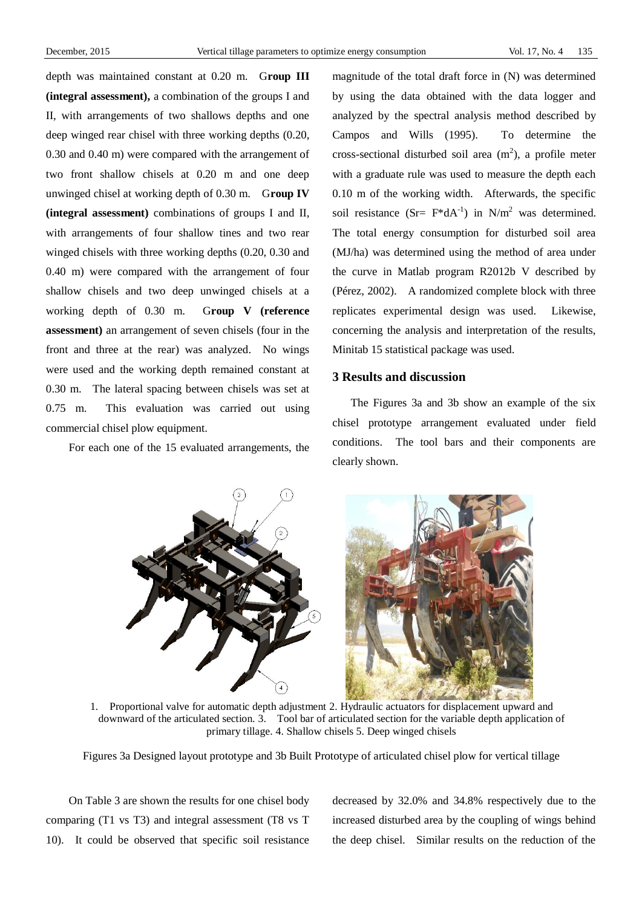depth was maintained constant at 0.20 m. G**roup III (integral assessment),** a combination of the groups I and II, with arrangements of two shallows depths and one deep winged rear chisel with three working depths (0.20, 0.30 and 0.40 m) were compared with the arrangement of two front shallow chisels at 0.20 m and one deep unwinged chisel at working depth of 0.30 m. G**roup IV (integral assessment)** combinations of groups I and II, with arrangements of four shallow tines and two rear winged chisels with three working depths (0.20, 0.30 and 0.40 m) were compared with the arrangement of four shallow chisels and two deep unwinged chisels at a working depth of 0.30 m. G**roup V (reference assessment)** an arrangement of seven chisels (four in the front and three at the rear) was analyzed. No wings were used and the working depth remained constant at 0.30 m. The lateral spacing between chisels was set at 0.75 m. This evaluation was carried out using commercial chisel plow equipment.

For each one of the 15 evaluated arrangements, the

magnitude of the total draft force in (N) was determined by using the data obtained with the data logger and analyzed by the spectral analysis method described by Campos and Wills (1995). To determine the cross-sectional disturbed soil area  $(m<sup>2</sup>)$ , a profile meter with a graduate rule was used to measure the depth each 0.10 m of the working width. Afterwards, the specific soil resistance (Sr=  $F^*dA^{-1}$ ) in N/m<sup>2</sup> was determined. The total energy consumption for disturbed soil area (MJ/ha) was determined using the method of area under the curve in Matlab program R2012b V described by (Pérez, 2002). A randomized complete block with three replicates experimental design was used. Likewise, concerning the analysis and interpretation of the results, Minitab 15 statistical package was used.

# **3 Results and discussion**

The Figures 3a and 3b show an example of the six chisel prototype arrangement evaluated under field conditions. The tool bars and their components are clearly shown.



1. Proportional valve for automatic depth adjustment 2. Hydraulic actuators for displacement upward and downward of the articulated section. 3. Tool bar of articulated section for the variable depth application of primary tillage. 4. Shallow chisels 5. Deep winged chisels

Figures 3a Designed layout prototype and 3b Built Prototype of articulated chisel plow for vertical tillage

On Table 3 are shown the results for one chisel body comparing (T1 vs T3) and integral assessment (T8 vs T 10). It could be observed that specific soil resistance decreased by 32.0% and 34.8% respectively due to the increased disturbed area by the coupling of wings behind the deep chisel. Similar results on the reduction of the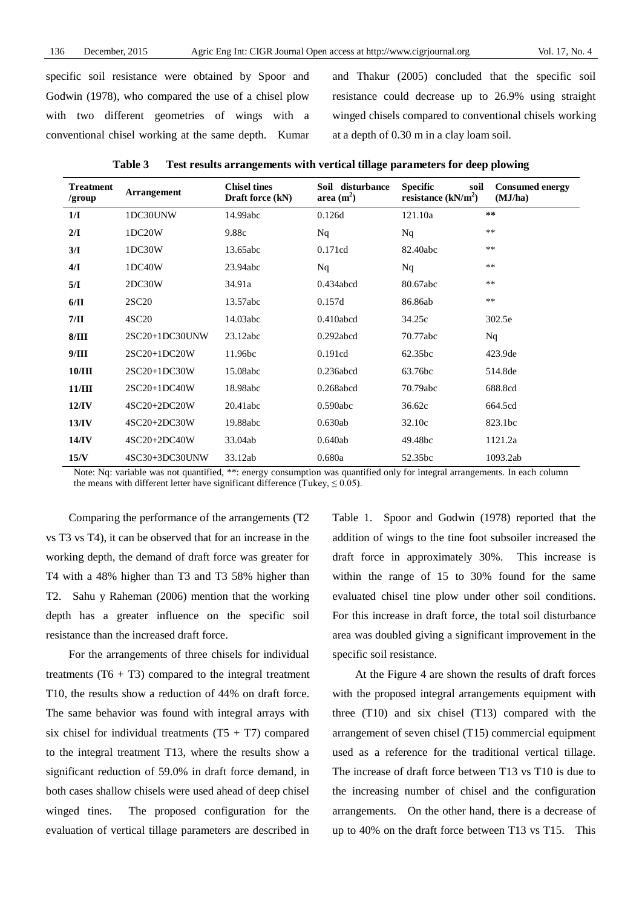specific soil resistance were obtained by Spoor and Godwin (1978), who compared the use of a chisel plow with two different geometries of wings with a conventional chisel working at the same depth. Kumar

and Thakur (2005) concluded that the specific soil resistance could decrease up to 26.9% using straight winged chisels compared to conventional chisels working at a depth of 0.30 m in a clay loam soil.

| <b>Table 3</b> | Test results arrangements with vertical tillage parameters for deep plowing |  |  |
|----------------|-----------------------------------------------------------------------------|--|--|
|                |                                                                             |  |  |

| <b>Treatment</b><br>/group | <b>Arrangement</b> | <b>Chisel tines</b><br>Draft force (kN) | Soil disturbance<br>area $(m^2)$ | <b>Specific</b><br>soil<br>resistance $(kN/m2)$ | <b>Consumed energy</b><br>(MJ/ha) |
|----------------------------|--------------------|-----------------------------------------|----------------------------------|-------------------------------------------------|-----------------------------------|
| 1/I                        | 1DC30UNW           | 14.99abc                                | 0.126d                           | 121.10a                                         | **                                |
| $2/\mathbf{I}$             | 1DC20W             | 9.88c                                   | Nq                               | Nq                                              | $***$                             |
| 3/I                        | 1DC30W             | 13.65abc                                | 0.171cd                          | 82.40abc                                        | $***$                             |
| $4/\mathbf{I}$             | 1DC40W             | 23.94abc                                | Nq                               | Nq                                              | $***$                             |
| 5/I                        | 2DC30W             | 34.91a                                  | 0.434abcd                        | 80.67abc                                        | $***$                             |
| 6/II                       | 2SC20              | 13.57abc                                | 0.157d                           | 86.86ab                                         | $**$                              |
| 7/II                       | 4SC20              | 14.03abc                                | 0.410abcd                        | 34.25c                                          | 302.5e                            |
| 8/III                      | 2SC20+1DC30UNW     | 23.12abc                                | $0.292$ abcd                     | 70.77abc                                        | Nq                                |
| 9/III                      | 2SC20+1DC20W       | 11.96bc                                 | 0.191cd                          | 62.35bc                                         | 423.9de                           |
| 10/III                     | 2SC20+1DC30W       | 15.08abc                                | 0.236abcd                        | 63.76bc                                         | 514.8de                           |
| 11/III                     | 2SC20+1DC40W       | 18.98abc                                | 0.268abcd                        | 70.79abc                                        | 688.8cd                           |
| $12$ /IV                   | $4SC20+2DC20W$     | 20.41abc                                | $0.590$ abc                      | 36.62c                                          | 664.5cd                           |
| 13/IV                      | 4SC20+2DC30W       | 19.88abc                                | 0.630ab                          | 32.10c                                          | 823.1bc                           |
| 14/IV                      | 4SC20+2DC40W       | 33.04ab                                 | 0.640ab                          | 49.48bc                                         | 1121.2a                           |
| 15/N                       | 4SC30+3DC30UNW     | 33.12ab                                 | 0.680a                           | 52.35bc                                         | 1093.2ab                          |

Note: Nq: variable was not quantified, \*\*: energy consumption was quantified only for integral arrangements. In each column the means with different letter have significant difference (Tukey,  $\leq 0.05$ ).

Comparing the performance of the arrangements (T2 vs T3 vs T4), it can be observed that for an increase in the working depth, the demand of draft force was greater for T4 with a 48% higher than T3 and T3 58% higher than T2. Sahu y Raheman (2006) mention that the working depth has a greater influence on the specific soil resistance than the increased draft force.

For the arrangements of three chisels for individual treatments  $(T6 + T3)$  compared to the integral treatment T10, the results show a reduction of 44% on draft force. The same behavior was found with integral arrays with six chisel for individual treatments  $(T5 + T7)$  compared to the integral treatment T13, where the results show a significant reduction of 59.0% in draft force demand, in both cases shallow chisels were used ahead of deep chisel winged tines. The proposed configuration for the evaluation of vertical tillage parameters are described in Table 1. Spoor and Godwin (1978) reported that the addition of wings to the tine foot subsoiler increased the draft force in approximately 30%. This increase is within the range of 15 to 30% found for the same evaluated chisel tine plow under other soil conditions. For this increase in draft force, the total soil disturbance area was doubled giving a significant improvement in the specific soil resistance.

At the Figure 4 are shown the results of draft forces with the proposed integral arrangements equipment with three (T10) and six chisel (T13) compared with the arrangement of seven chisel (T15) commercial equipment used as a reference for the traditional vertical tillage. The increase of draft force between T13 vs T10 is due to the increasing number of chisel and the configuration arrangements. On the other hand, there is a decrease of up to 40% on the draft force between T13 vs T15. This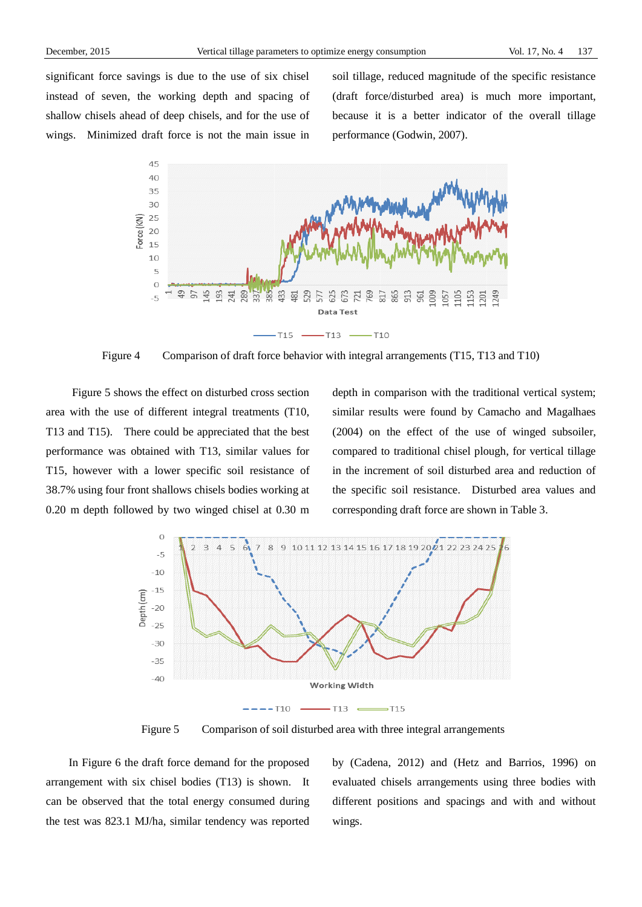significant force savings is due to the use of six chisel instead of seven, the working depth and spacing of shallow chisels ahead of deep chisels, and for the use of wings. Minimized draft force is not the main issue in soil tillage, reduced magnitude of the specific resistance (draft force/disturbed area) is much more important, because it is a better indicator of the overall tillage performance (Godwin, 2007).



Figure 4 Comparison of draft force behavior with integral arrangements (T15, T13 and T10)

Figure 5 shows the effect on disturbed cross section area with the use of different integral treatments (T10, T13 and T15). There could be appreciated that the best performance was obtained with T13, similar values for T15, however with a lower specific soil resistance of 38.7% using four front shallows chisels bodies working at 0.20 m depth followed by two winged chisel at 0.30 m depth in comparison with the traditional vertical system; similar results were found by Camacho and Magalhaes (2004) on the effect of the use of winged subsoiler, compared to traditional chisel plough, for vertical tillage in the increment of soil disturbed area and reduction of the specific soil resistance. Disturbed area values and corresponding draft force are shown in Table 3.



Figure 5 Comparison of soil disturbed area with three integral arrangements

In Figure 6 the draft force demand for the proposed arrangement with six chisel bodies (T13) is shown. It can be observed that the total energy consumed during the test was 823.1 MJ/ha, similar tendency was reported by (Cadena, 2012) and (Hetz and Barrios, 1996) on evaluated chisels arrangements using three bodies with different positions and spacings and with and without wings.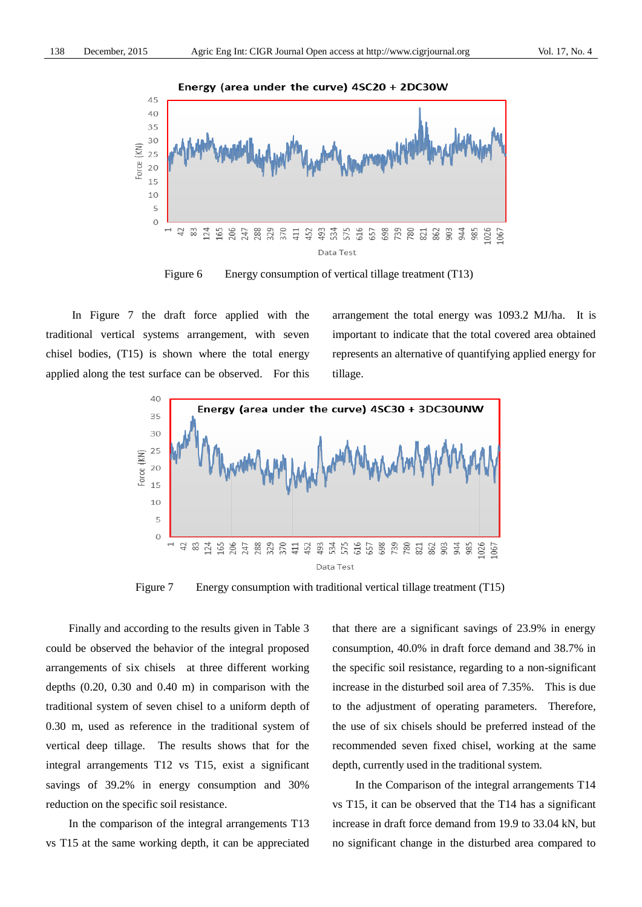

Figure 6 Energy consumption of vertical tillage treatment (T13)

In Figure 7 the draft force applied with the traditional vertical systems arrangement, with seven chisel bodies, (T15) is shown where the total energy applied along the test surface can be observed. For this arrangement the total energy was 1093.2 MJ/ha. It is important to indicate that the total covered area obtained represents an alternative of quantifying applied energy for tillage.



Figure 7 Energy consumption with traditional vertical tillage treatment (T15)

Finally and according to the results given in Table 3 could be observed the behavior of the integral proposed arrangements of six chisels at three different working depths (0.20, 0.30 and 0.40 m) in comparison with the traditional system of seven chisel to a uniform depth of 0.30 m, used as reference in the traditional system of vertical deep tillage. The results shows that for the integral arrangements T12 vs T15, exist a significant savings of 39.2% in energy consumption and 30% reduction on the specific soil resistance.

In the comparison of the integral arrangements T13 vs T15 at the same working depth, it can be appreciated that there are a significant savings of 23.9% in energy consumption, 40.0% in draft force demand and 38.7% in the specific soil resistance, regarding to a non-significant increase in the disturbed soil area of 7.35%. This is due to the adjustment of operating parameters. Therefore, the use of six chisels should be preferred instead of the recommended seven fixed chisel, working at the same depth, currently used in the traditional system.

In the Comparison of the integral arrangements T14 vs T15, it can be observed that the T14 has a significant increase in draft force demand from 19.9 to 33.04 kN, but no significant change in the disturbed area compared to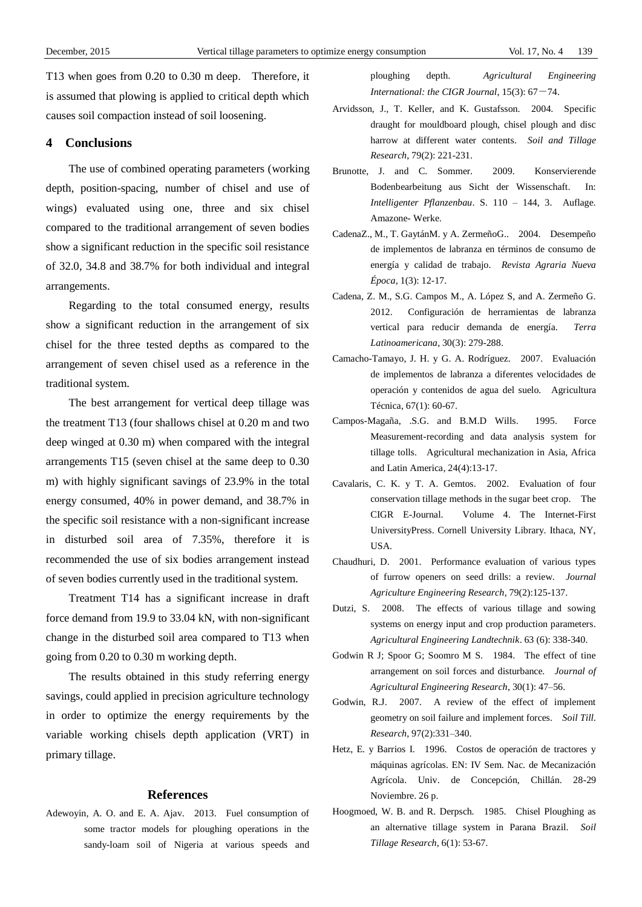T13 when goes from 0.20 to 0.30 m deep. Therefore, it is assumed that plowing is applied to critical depth which causes soil compaction instead of soil loosening.

# **4 Conclusions**

The use of combined operating parameters (working depth, position-spacing, number of chisel and use of wings) evaluated using one, three and six chisel compared to the traditional arrangement of seven bodies show a significant reduction in the specific soil resistance of 32.0, 34.8 and 38.7% for both individual and integral arrangements.

Regarding to the total consumed energy, results show a significant reduction in the arrangement of six chisel for the three tested depths as compared to the arrangement of seven chisel used as a reference in the traditional system.

The best arrangement for vertical deep tillage was the treatment T13 (four shallows chisel at 0.20 m and two deep winged at 0.30 m) when compared with the integral arrangements T15 (seven chisel at the same deep to 0.30 m) with highly significant savings of 23.9% in the total energy consumed, 40% in power demand, and 38.7% in the specific soil resistance with a non-significant increase in disturbed soil area of 7.35%, therefore it is recommended the use of six bodies arrangement instead of seven bodies currently used in the traditional system.

Treatment T14 has a significant increase in draft force demand from 19.9 to 33.04 kN, with non-significant change in the disturbed soil area compared to T13 when going from 0.20 to 0.30 m working depth.

The results obtained in this study referring energy savings, could applied in precision agriculture technology in order to optimize the energy requirements by the variable working chisels depth application (VRT) in primary tillage.

## **References**

Adewoyin, A. O. and E. A. Ajav. 2013. Fuel consumption of some tractor models for ploughing operations in the sandy-loam soil of Nigeria at various speeds and ploughing depth. *Agricultural Engineering International: the CIGR Journal*,  $15(3)$ :  $67-74$ .

- Arvidsson, J., T. Keller, and K. Gustafsson. 2004. Specific draught for mouldboard plough, chisel plough and disc harrow at different water contents. *Soil and Tillage Research*, 79(2): 221-231.
- Brunotte, J. and C. Sommer. 2009. Konservierende Bodenbearbeitung aus Sicht der Wissenschaft. In: *Intelligenter Pflanzenbau*. S. 110 – 144, 3. Auflage. Amazone- Werke.
- CadenaZ., M., T. GaytánM. y A. ZermeñoG.. 2004. Desempeño de implementos de labranza en términos de consumo de energía y calidad de trabajo. *Revista Agraria Nueva Época*, 1(3): 12-17.
- Cadena, Z. M., S.G. Campos M., A. López S, and A. Zermeño G. 2012. Configuración de herramientas de labranza vertical para reducir demanda de energía. *Terra Latinoamericana*, 30(3): 279-288.
- Camacho-Tamayo, J. H. y G. A. Rodr guez. 2007. Evaluación de implementos de labranza a diferentes velocidades de operación y contenidos de agua del suelo. Agricultura Técnica, 67(1): 60-67.
- Campos-Magaña, .S.G. and B.M.D Wills. 1995. Force Measurement-recording and data analysis system for tillage tolls. Agricultural mechanization in Asia, Africa and Latin America, 24(4):13-17.
- Cavalaris, C. K. y T. A. Gemtos. 2002. Evaluation of four conservation tillage methods in the sugar beet crop. The CIGR E-Journal. Volume 4. The Internet-First UniversityPress. Cornell University Library. Ithaca, NY, USA.
- Chaudhuri, D. 2001. Performance evaluation of various types of furrow openers on seed drills: a review. *Journal Agriculture Engineering Research*, 79(2):125-137.
- Dutzi, S. 2008. The effects of various tillage and sowing systems on energy input and crop production parameters. *Agricultural Engineering Landtechnik*. 63 (6): 338-340.
- Godwin R J; Spoor G; Soomro M S. 1984. The effect of tine arrangement on soil forces and disturbance. *Journal of Agricultural Engineering Research*, 30(1): 47–56.
- Godwin, R.J. 2007. A review of the effect of implement geometry on soil failure and implement forces. *Soil Till. Research*, 97(2):331–340.
- Hetz, E. y Barrios I. 1996. Costos de operación de tractores y máquinas agr íolas. EN: IV Sem. Nac. de Mecanización Agrícola. Univ. de Concepción, Chillán. 28-29 Noviembre. 26 p.
- Hoogmoed, W. B. and R. Derpsch. 1985. Chisel Ploughing as an alternative tillage system in Parana Brazil. *Soil Tillage Research*, 6(1): 53-67.